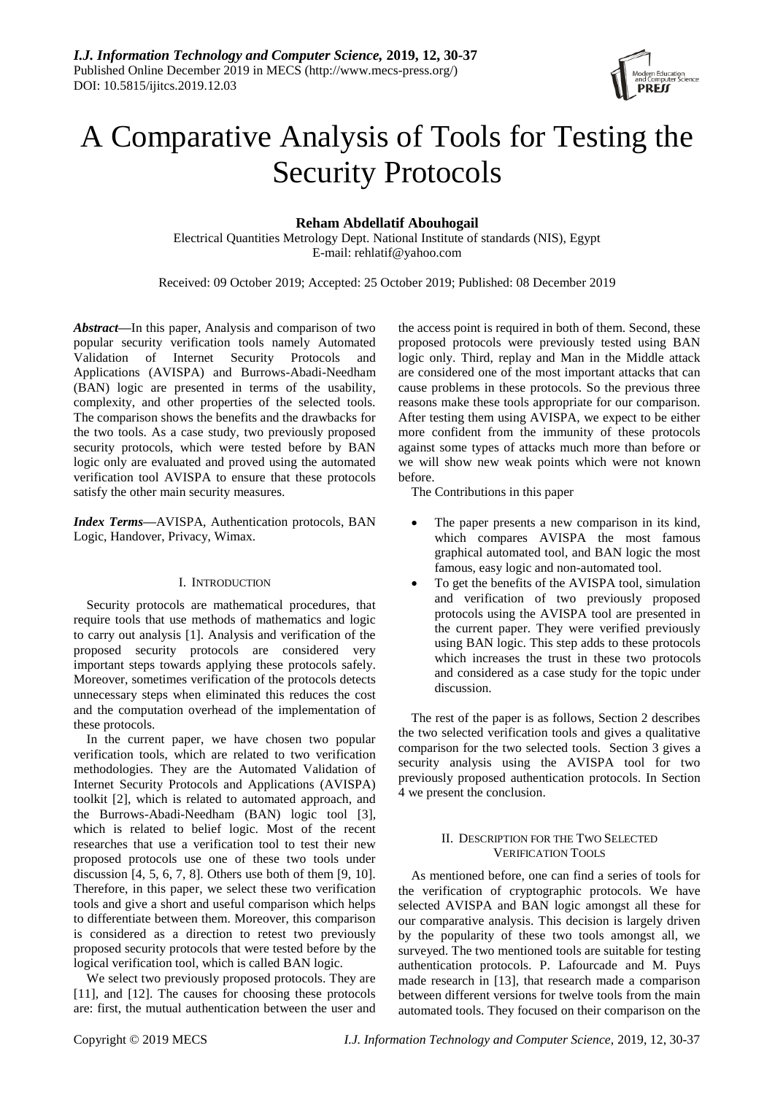

# A Comparative Analysis of Tools for Testing the Security Protocols

# **Reham Abdellatif Abouhogail**

Electrical Quantities Metrology Dept. National Institute of standards (NIS), Egypt E-mail: rehlatif@yahoo.com

Received: 09 October 2019; Accepted: 25 October 2019; Published: 08 December 2019

*Abstract***—**In this paper, Analysis and comparison of two popular security verification tools namely Automated Validation of Internet Security Protocols and Applications (AVISPA) and Burrows-Abadi-Needham (BAN) logic are presented in terms of the usability, complexity, and other properties of the selected tools. The comparison shows the benefits and the drawbacks for the two tools. As a case study, two previously proposed security protocols, which were tested before by BAN logic only are evaluated and proved using the automated verification tool AVISPA to ensure that these protocols satisfy the other main security measures.

*Index Terms***—**AVISPA, Authentication protocols, BAN Logic, Handover, Privacy, Wimax.

# I. INTRODUCTION

Security protocols are mathematical procedures, that require tools that use methods of mathematics and logic to carry out analysis [1]. Analysis and verification of the proposed security protocols are considered very important steps towards applying these protocols safely. Moreover, sometimes verification of the protocols detects unnecessary steps when eliminated this reduces the cost and the computation overhead of the implementation of these protocols.

In the current paper, we have chosen two popular verification tools, which are related to two verification methodologies. They are the Automated Validation of Internet Security Protocols and Applications (AVISPA) toolkit [2], which is related to automated approach, and the Burrows-Abadi-Needham (BAN) logic tool [3], which is related to belief logic. Most of the recent researches that use a verification tool to test their new proposed protocols use one of these two tools under discussion  $[4, 5, 6, 7, 8]$ . Others use both of them  $[9, 10]$ . Therefore, in this paper, we select these two verification tools and give a short and useful comparison which helps to differentiate between them. Moreover, this comparison is considered as a direction to retest two previously proposed security protocols that were tested before by the logical verification tool, which is called BAN logic.

We select two previously proposed protocols. They are [11], and [12]. The causes for choosing these protocols are: first, the mutual authentication between the user and the access point is required in both of them. Second, these proposed protocols were previously tested using BAN logic only. Third, replay and Man in the Middle attack are considered one of the most important attacks that can cause problems in these protocols. So the previous three reasons make these tools appropriate for our comparison. After testing them using AVISPA, we expect to be either more confident from the immunity of these protocols against some types of attacks much more than before or we will show new weak points which were not known before.

The Contributions in this paper

- The paper presents a new comparison in its kind, which compares AVISPA the most famous graphical automated tool, and BAN logic the most famous, easy logic and non-automated tool.
- To get the benefits of the AVISPA tool, simulation and verification of two previously proposed protocols using the AVISPA tool are presented in the current paper. They were verified previously using BAN logic. This step adds to these protocols which increases the trust in these two protocols and considered as a case study for the topic under discussion.

The rest of the paper is as follows, Section 2 describes the two selected verification tools and gives a qualitative comparison for the two selected tools. Section 3 gives a security analysis using the AVISPA tool for two previously proposed authentication protocols. In Section 4 we present the conclusion.

# II. DESCRIPTION FOR THE TWO SELECTED VERIFICATION TOOLS

As mentioned before, one can find a series of tools for the verification of cryptographic protocols. We have selected AVISPA and BAN logic amongst all these for our comparative analysis. This decision is largely driven by the popularity of these two tools amongst all, we surveyed. The two mentioned tools are suitable for testing authentication protocols. P. Lafourcade and M. Puys made research in [13], that research made a comparison between different versions for twelve tools from the main automated tools. They focused on their comparison on the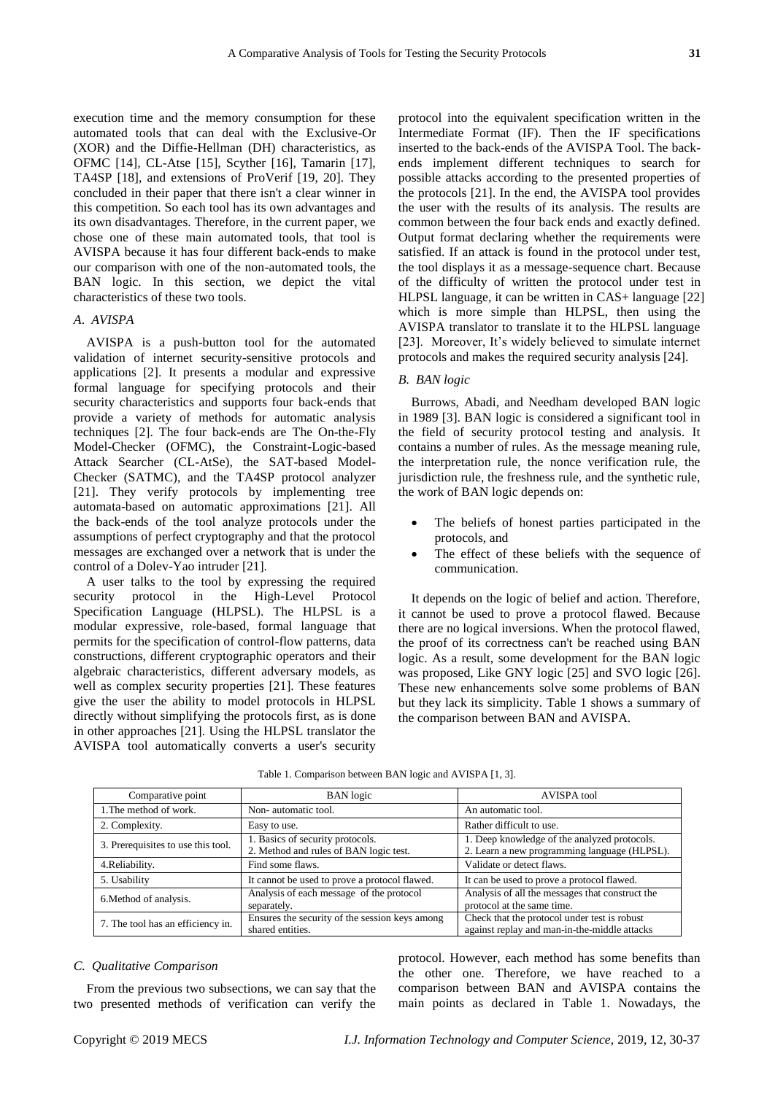execution time and the memory consumption for these automated tools that can deal with the Exclusive-Or (XOR) and the Diffie-Hellman (DH) characteristics, as OFMC [14], CL-Atse [15], Scyther [16], Tamarin [17], TA4SP [18], and extensions of ProVerif [19, 20]. They concluded in their paper that there isn't a clear winner in this competition. So each tool has its own advantages and its own disadvantages. Therefore, in the current paper, we chose one of these main automated tools, that tool is AVISPA because it has four different back-ends to make our comparison with one of the non-automated tools, the BAN logic. In this section, we depict the vital characteristics of these two tools.

#### *A*. *AVISPA*

AVISPA is a push-button tool for the automated validation of internet security-sensitive protocols and applications [2]. It presents a modular and expressive formal language for specifying protocols and their security characteristics and supports four back-ends that provide a variety of methods for automatic analysis techniques [2]. The four back-ends are The On-the-Fly Model-Checker (OFMC), the Constraint-Logic-based Attack Searcher (CL-AtSe), the SAT-based Model-Checker (SATMC), and the TA4SP protocol analyzer [21]. They verify protocols by implementing tree automata-based on automatic approximations [21]. All the back-ends of the tool analyze protocols under the assumptions of perfect cryptography and that the protocol messages are exchanged over a network that is under the control of a Dolev-Yao intruder [21].

A user talks to the tool by expressing the required security protocol in the High-Level Protocol Specification Language (HLPSL). The HLPSL is a modular expressive, role-based, formal language that permits for the specification of control-flow patterns, data constructions, different cryptographic operators and their algebraic characteristics, different adversary models, as well as complex security properties [21]. These features give the user the ability to model protocols in HLPSL directly without simplifying the protocols first, as is done in other approaches [21]. Using the HLPSL translator the AVISPA tool automatically converts a user's security

protocol into the equivalent specification written in the Intermediate Format (IF). Then the IF specifications inserted to the back-ends of the AVISPA Tool. The backends implement different techniques to search for possible attacks according to the presented properties of the protocols [21]. In the end, the AVISPA tool provides the user with the results of its analysis. The results are common between the four back ends and exactly defined. Output format declaring whether the requirements were satisfied. If an attack is found in the protocol under test, the tool displays it as a message-sequence chart. Because of the difficulty of written the protocol under test in HLPSL language, it can be written in CAS+ language [22] which is more simple than HLPSL, then using the AVISPA translator to translate it to the HLPSL language [23]. Moreover, It's widely believed to simulate internet protocols and makes the required security analysis [24].

## *B. BAN logic*

Burrows, Abadi, and Needham developed BAN logic in 1989 [3]. BAN logic is considered a significant tool in the field of security protocol testing and analysis. It contains a number of rules. As the message meaning rule, the interpretation rule, the nonce verification rule, the jurisdiction rule, the freshness rule, and the synthetic rule, the work of BAN logic depends on:

- The beliefs of honest parties participated in the protocols, and
- The effect of these beliefs with the sequence of communication.

It depends on the logic of belief and action. Therefore, it cannot be used to prove a protocol flawed. Because there are no logical inversions. When the protocol flawed, the proof of its correctness can't be reached using BAN logic. As a result, some development for the BAN logic was proposed, Like GNY logic [25] and SVO logic [26]. These new enhancements solve some problems of BAN but they lack its simplicity. Table 1 shows a summary of the comparison between BAN and AVISPA.

| Comparative point                  | <b>BAN</b> logic                                                           | AVISPA tool                                                                                  |  |
|------------------------------------|----------------------------------------------------------------------------|----------------------------------------------------------------------------------------------|--|
| 1. The method of work.             | Non-automatic tool.                                                        | An automatic tool.                                                                           |  |
| 2. Complexity.                     | Easy to use.                                                               | Rather difficult to use.                                                                     |  |
| 3. Prerequisites to use this tool. | 1. Basics of security protocols.<br>2. Method and rules of BAN logic test. | 1. Deep knowledge of the analyzed protocols.<br>2. Learn a new programming language (HLPSL). |  |
| 4. Reliability.                    | Find some flaws.                                                           | Validate or detect flaws.                                                                    |  |
| 5. Usability                       | It cannot be used to prove a protocol flawed.                              | It can be used to prove a protocol flawed.                                                   |  |
| 6. Method of analysis.             | Analysis of each message of the protocol<br>separately.                    | Analysis of all the messages that construct the<br>protocol at the same time.                |  |
| 7. The tool has an efficiency in.  | Ensures the security of the session keys among<br>shared entities.         | Check that the protocol under test is robust<br>against replay and man-in-the-middle attacks |  |

Table 1. Comparison between BAN logic and AVISPA [1, 3].

## *C. Qualitative Comparison*

From the previous two subsections, we can say that the two presented methods of verification can verify the

Copyright © 2019 MECS *I.J. Information Technology and Computer Science,* 2019, 12, 30-37

protocol. However, each method has some benefits than the other one. Therefore, we have reached to a comparison between BAN and AVISPA contains the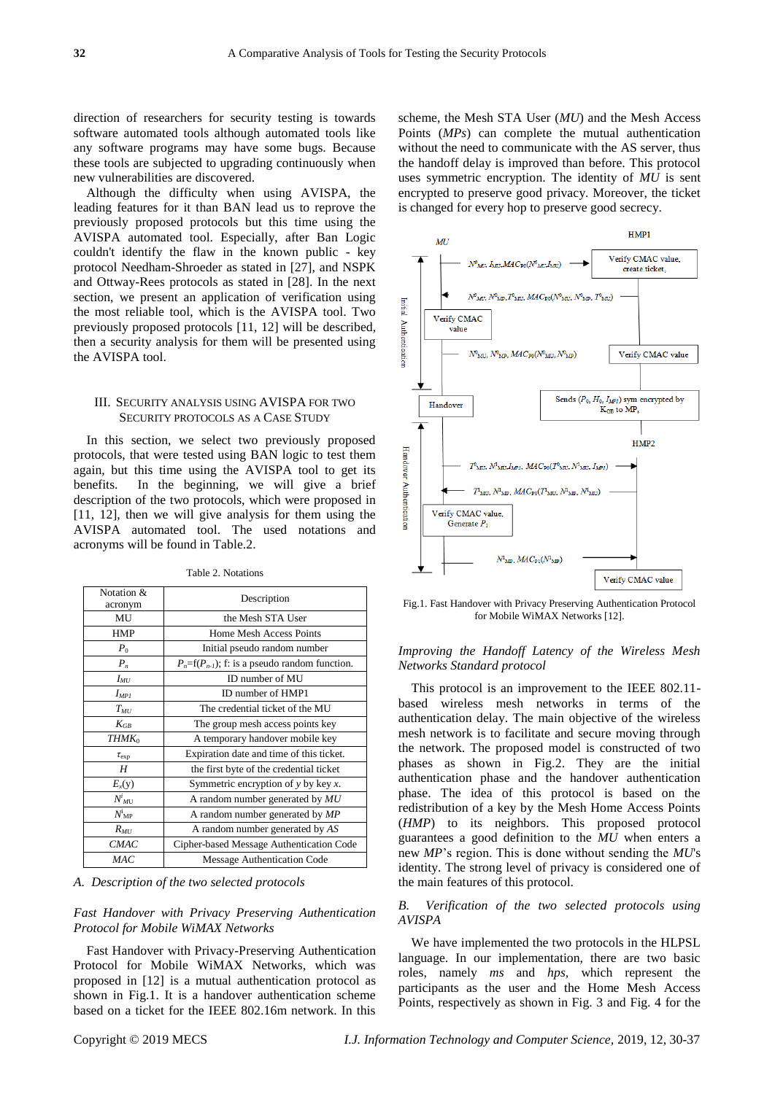direction of researchers for security testing is towards software automated tools although automated tools like any software programs may have some bugs. Because these tools are subjected to upgrading continuously when new vulnerabilities are discovered.

Although the difficulty when using AVISPA, the leading features for it than BAN lead us to reprove the previously proposed protocols but this time using the AVISPA automated tool. Especially, after Ban Logic couldn't identify the flaw in the known public - key protocol Needham-Shroeder as stated in [27], and NSPK and Ottway-Rees protocols as stated in [28]. In the next section, we present an application of verification using the most reliable tool, which is the AVISPA tool. Two previously proposed protocols [11, 12] will be described, then a security analysis for them will be presented using the AVISPA tool.

## III. SECURITY ANALYSIS USING AVISPA FOR TWO SECURITY PROTOCOLS AS A CASE STUDY

In this section, we select two previously proposed protocols, that were tested using BAN logic to test them again, but this time using the AVISPA tool to get its benefits. In the beginning, we will give a brief description of the two protocols, which were proposed in [11, 12], then we will give analysis for them using the AVISPA automated tool. The used notations and acronyms will be found in Table.2.

| Notation &          | Description                                          |  |
|---------------------|------------------------------------------------------|--|
| acronym             |                                                      |  |
| MU                  | the Mesh STA User                                    |  |
| <b>HMP</b>          | Home Mesh Access Points                              |  |
| $P_0$               | Initial pseudo random number                         |  |
| $P_n$               | $P_n = f(P_{n-1})$ ; f: is a pseudo random function. |  |
| $I_{MU}$            | ID number of MU                                      |  |
| $I_{MPI}$           | ID number of HMP1                                    |  |
| $T_{MI}$            | The credential ticket of the MU                      |  |
| $K_{GB}$            | The group mesh access points key                     |  |
| THMK <sub>0</sub>   | A temporary handover mobile key                      |  |
| $\tau_{\rm exp}$    | Expiration date and time of this ticket.             |  |
| H                   | the first byte of the credential ticket              |  |
| $E_{x}(y)$          | Symmetric encryption of $y$ by key $x$ .             |  |
| $N^i$ <sub>MT</sub> | A random number generated by $MU$                    |  |
| $N^i{}_{\rm MP}$    | A random number generated by MP                      |  |
| $R_{MI}$            | A random number generated by AS                      |  |
| <i>CMAC</i>         | Cipher-based Message Authentication Code             |  |
| MAC                 | Message Authentication Code                          |  |

Table 2. Notations

*A. Description of the two selected protocols*

## *Fast Handover with Privacy Preserving Authentication Protocol for Mobile WiMAX Networks*

Fast Handover with Privacy-Preserving Authentication Protocol for Mobile WiMAX Networks, which was proposed in [12] is a mutual authentication protocol as shown in Fig.1. It is a handover authentication scheme based on a ticket for the IEEE 802.16m network. In this scheme, the Mesh STA User (*MU*) and the Mesh Access Points (*MPs*) can complete the mutual authentication without the need to communicate with the AS server, thus the handoff delay is improved than before. This protocol uses symmetric encryption. The identity of *MU* is sent encrypted to preserve good privacy. Moreover, the ticket is changed for every hop to preserve good secrecy.



Fig.1. Fast Handover with Privacy Preserving Authentication Protocol for Mobile WiMAX Networks [12].

## *Improving the Handoff Latency of the Wireless Mesh Networks Standard protocol*

This protocol is an improvement to the IEEE 802.11 based wireless mesh networks in terms of the authentication delay. The main objective of the wireless mesh network is to facilitate and secure moving through the network. The proposed model is constructed of two phases as shown in Fig.2. They are the initial authentication phase and the handover authentication phase. The idea of this protocol is based on the redistribution of a key by the Mesh Home Access Points (*HMP*) to its neighbors. This proposed protocol guarantees a good definition to the *MU* when enters a new *MP*'s region. This is done without sending the *MU*'s identity. The strong level of privacy is considered one of the main features of this protocol.

## *B. Verification of the two selected protocols using AVISPA*

We have implemented the two protocols in the HLPSL language. In our implementation, there are two basic roles, namely *ms* and *hps,* which represent the participants as the user and the Home Mesh Access Points, respectively as shown in Fig. 3 and Fig. 4 for the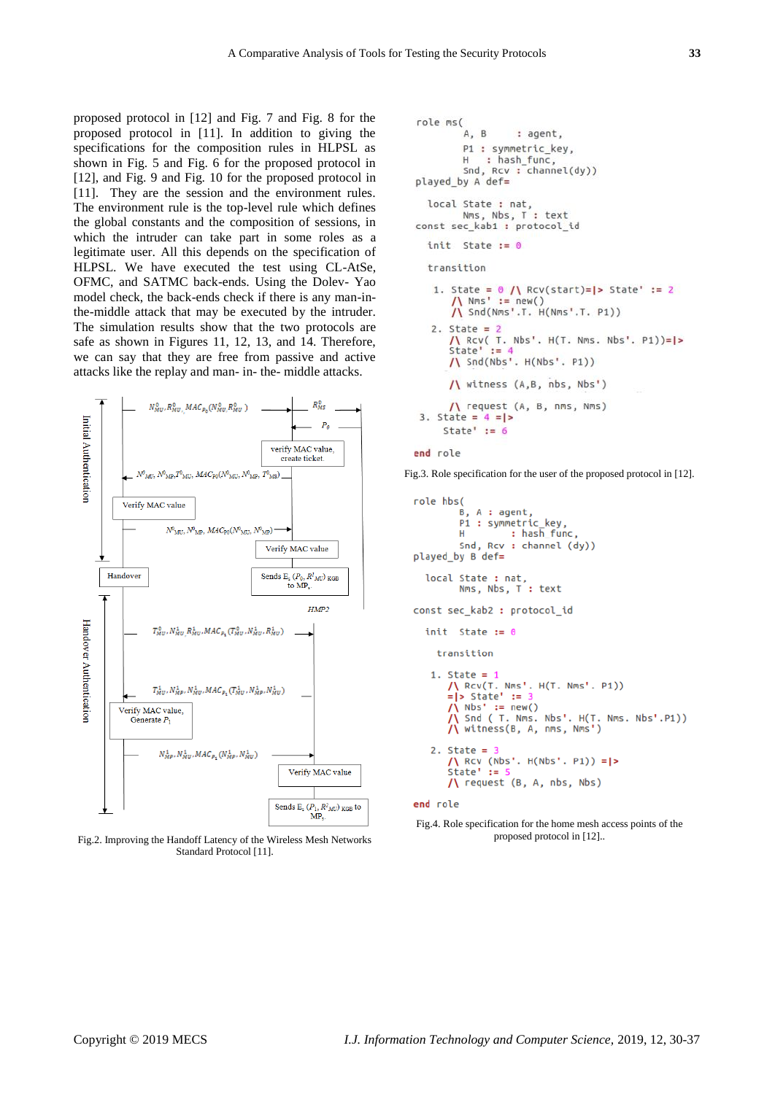proposed protocol in [12] and Fig. 7 and Fig. 8 for the proposed protocol in [11]. In addition to giving the specifications for the composition rules in HLPSL as shown in Fig. 5 and Fig. 6 for the proposed protocol in [12], and Fig. 9 and Fig. 10 for the proposed protocol in [11]. They are the session and the environment rules. The environment rule is the top-level rule which defines the global constants and the composition of sessions, in which the intruder can take part in some roles as a legitimate user. All this depends on the specification of HLPSL. We have executed the test using CL-AtSe, OFMC, and SATMC back-ends. Using the Dolev- Yao model check, the back-ends check if there is any man-inthe-middle attack that may be executed by the intruder. The simulation results show that the two protocols are safe as shown in Figures 11, 12, 13, and 14. Therefore, we can say that they are free from passive and active attacks like the replay and man- in- the- middle attacks.



Fig.2. Improving the Handoff Latency of the Wireless Mesh Networks Standard Protocol [11].

```
role ms(
        A, B: agent.
        P1 : symmetric_key,
        H: hash_func,
        Snd, Rcv : channel(dy))
played_by A def=
  local State : nat,
        Nms, Nbs, T : text
const sec_kab1 : protocol_id
  init State := 0
  transition
   1. State = \theta /\ Rcv(start)=|> State' := 2
      /\ Nms' := new()<br>/\ Snd(Nms'.T. H(Nms'.T. P1))
   2. State = 2\bigwedge Rcv( T. Nbs'. H(T. Nms. Nbs'. P1))=|><br>State' := 4
      /\ Snd(Nbs'. H(Nbs'. P1))
      \bigwedge witness (A, B, nbs, Nbs')/\ request (A, B, nms, Nms)
3. State = 4 = |State' := 6
```

```
end role
```
Fig.3. Role specification for the user of the proposed protocol in [12].

```
role hbs(
         B. A : aent.
         P1 : symmetric_key,
                   : hash func,
         HSnd, Rcv : channel (dy))
played_by B def=
  local State : nat,<br>Nms, Nbs, T : text
const sec kab2 : protocol id
  init State := 0
    transition
   1. State = 1/\ RCV(T. Nms'. H(T. Nms'. P1))
       = |> State' :=
       /\ Nbs' := new()<br>/\ Snd ( T. Nms. Nbs'. H(T. Nms. Nbs'.P1))
       /\ witness(B, A, nms, Nms')
   2. State = 3State = 3<br>
/\ Rcv (Nbs'. H(Nbs'. P1)) =|><br>
State' := 5
       /\ request (B, A, nbs, Nbs)
end role
```
Fig.4. Role specification for the home mesh access points of the proposed protocol in [12]..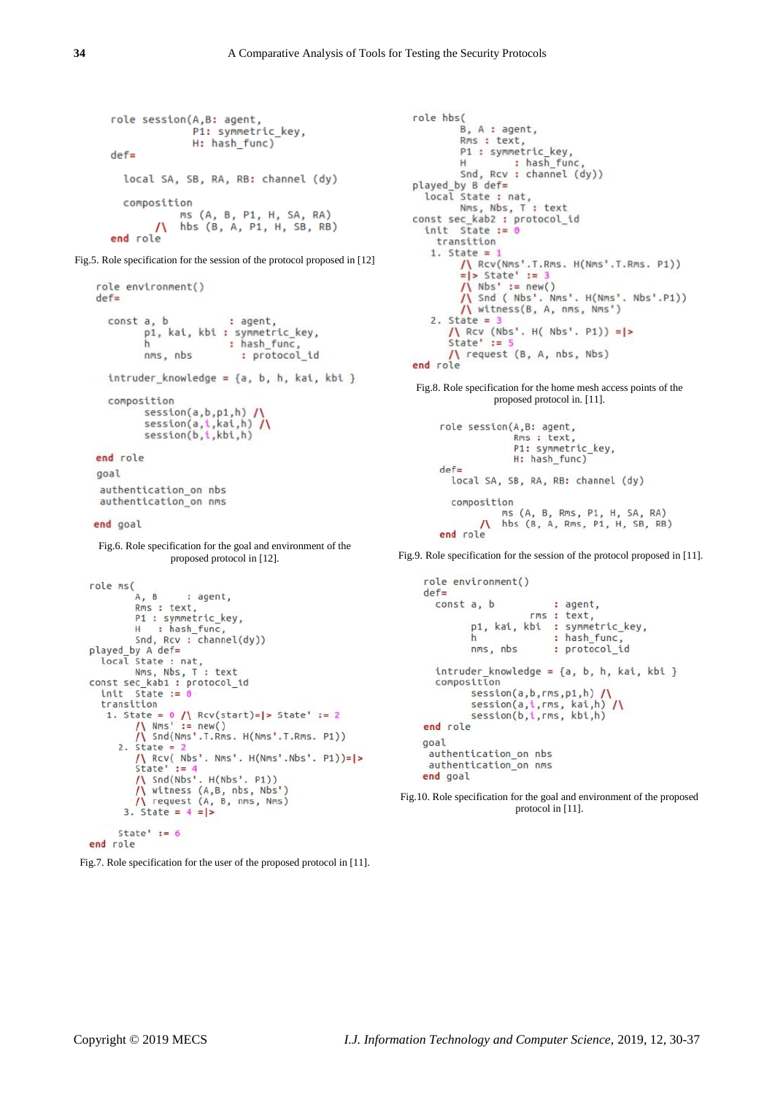```
role session(A,B: agent,
             P1: symmetric key,
             H: hash_func)
\detlocal SA, SB, RA, RB: channel (dy)
  composition
           ms (A, B, P1, H, SA, RA)
           hbs (B, A, P1, H, SB, RB)
       \Lambdaend role
```
Fig.5. Role specification for the session of the protocol proposed in [12]

```
role environment()
 def =const a, b
                                  : agent,
              p1, kai, kbi : symmetric_key,
                                  : hash_func,
              h
                                     : protocol_id
              nms, nbs
     intruder_knowledge = {a, b, h, kai, kbi }composition
             session(a,b,p1,h) /\<br>session(a,i,kai,h) /\<br>session(b,i,kbi,h)
 end role
  goal
  authentication_on nbs
  authentication_on nms
 end goal
  Fig.6. Role specification for the goal and environment of the 
                    proposed protocol in [12].
role ms(
           A, B
                        : agent,
           Rms : text,
           P1 : symmetric_key,<br>H : hash_func,<br>Sed Boy : channel(
Snd, Rcv : channel(dy))<br>played by A def=<br>local State : nat,<br>Nms, Nbs, T : text<br>const sec_kab1 : protocol_id
   init State := 0transition
    1. State = \frac{0}{\sqrt{N}} Rcv(start)=|> State' := 2<br>
/\ Nms' := new()
            /\ Snd(Nms'.T.Rms. H(Nms'.T.Rms. P1))
       2. State = 2/\ Rcv( Nbs'. Nms'. H(Nms'.Nbs'. P1))=|>
           State' := 4<br>/\ Snd(Nbs'. H(Nbs'. P1))
           /\ witness (A,B, nbs, Nbs')<br>/\ request (A, B, nms, Nms)
        3. State = 4 = |>
       State' := 6end role
```
Fig.7. Role specification for the user of the proposed protocol in [11].

```
role hbs(
          B, A : agent,
          Rms : text.
          P1 : symmetric_key,
          H: hash_func
          Snd, Rcv : channel (dy))
played by B def=
  local State : nat,
         Nms, Nbs, T : text
const sec kab2 : protocol id
  init State := 0transition
    1. State = 1\bigwedge_{i=1}^{n} \text{Rcv}(\text{Nms}^t.T.Rms. H(\text{Nms}^t.T.Rms. P1))<br>= |> State' := 3
          /\ Nbs' := new()<br>/\ Snd ( Nbs'. Nms'. H(Nms'. Nbs'.P1))
          /\ witness(B, A, nms, Nms')
    2. State = 3\frac{1}{\sqrt{2}} Rcv (Nbs'. H( Nbs'. P1)) = |><br>State' := 5
        /\ request (B, A, nbs, Nbs)
end role
Fig.8. Role specification for the home mesh access points of the 
                 proposed protocol in. [11].
     role session(A,B: agent,
                      Rms : text,
```

```
P1: symmetric_key,
             H: hash_func)
def =local SA, SB, RA, RB: channel (dy)
 composition
           ms (A, B, Rms, P1, H, SA, RA)
       \Lambdahbs (B, A, Rms, P1, H, SB, RB)
end role
```
Fig.9. Role specification for the session of the protocol proposed in [11].

```
role environment()
def =const a, b
                          : agent,
                     rms : text,
          p1, kai, kbi : symmetric_key,
                          : hash func,
          \mathsf{h}: protocol_id
         nms, nbs
  intruder_knowledge = \{a, b, h, kai, kbi\}composition
         session(a,b,rms,p1,h) \sqrt{}session(a,i,rms, kai,h) /\<br>session(b,i,rms, kai,h) /\
end role
goal
 authentication_on nbs
 authentication_on nms
end goal
```
Fig.10. Role specification for the goal and environment of the proposed protocol in [11].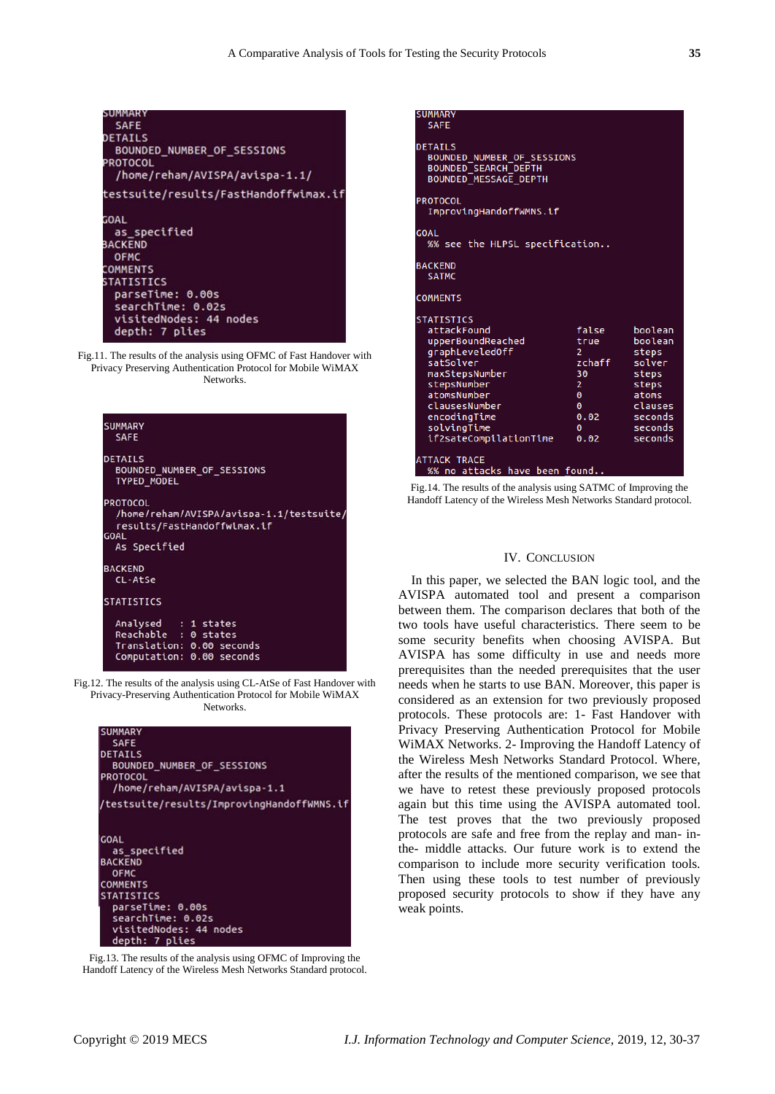| SUMMARY                               |
|---------------------------------------|
| <b>SAFE</b>                           |
| DETAILS                               |
| BOUNDED NUMBER OF SESSIONS            |
| PROTOCOL                              |
| /home/reham/AVISPA/avispa-1.1/        |
| testsuite/results/FastHandoffwimax.if |
| GOAL                                  |
| as specified                          |
| BACKEND                               |
| <b>OFMC</b>                           |
| COMMENTS                              |
| STATISTICS                            |
| parseTime: 0.00s                      |
| searchTime: 0.02s                     |
| visitedNodes: 44 nodes                |
| depth: 7 plies                        |



| <b>SUMMARY</b><br><b>SAFE</b>        |                                          |
|--------------------------------------|------------------------------------------|
| <b>DETAILS</b><br><b>TYPED MODEL</b> | BOUNDED NUMBER OF SESSIONS               |
| <b>PROTOCOL</b>                      | /home/reham/AVISPA/avispa-1.1/testsuite/ |
| <b>GOAL</b>                          | results/FastHandoffwimax.if              |
| As Specified                         |                                          |
| <b>BACKEND</b>                       |                                          |
| CL-AtSe                              |                                          |
| <b>STATISTICS</b>                    |                                          |
| Analysed : 1 states                  |                                          |
| Reachable : 0 states                 |                                          |
|                                      | Translation: 0.00 seconds                |
|                                      | Computation: 0.00 seconds                |

Fig.12. The results of the analysis using CL-AtSe of Fast Handover with Privacy-Preserving Authentication Protocol for Mobile WiMAX Networks.

| <b>SUMMARY</b>                             |
|--------------------------------------------|
| <b>SAFE</b>                                |
| <b>DETAILS</b>                             |
| BOUNDED NUMBER OF SESSIONS                 |
| <b>PROTOCOL</b>                            |
| /home/reham/AVISPA/avispa-1.1              |
| /testsuite/results/ImprovingHandoffWMNS.if |
| <b>GOAL</b>                                |
| as specified                               |
| <b>BACKEND</b>                             |
| <b>OFMC</b>                                |
| <b>COMMENTS</b>                            |
| <b>STATISTICS</b>                          |
| parseTime: 0.00s                           |
| searchTime: 0.02s                          |
| visitedNodes: 44 nodes                     |
| depth: 7 plies                             |

Fig.13. The results of the analysis using OFMC of Improving the Handoff Latency of the Wireless Mesh Networks Standard protocol.

| SUMMARY<br><b>SAFE</b>                                                                                                                                                                                          |                                                                                                            |                                                                                                              |  |  |  |
|-----------------------------------------------------------------------------------------------------------------------------------------------------------------------------------------------------------------|------------------------------------------------------------------------------------------------------------|--------------------------------------------------------------------------------------------------------------|--|--|--|
| <b>DETAILS</b><br>BOUNDED_NUMBER_OF_SESSIONS<br><b>BOUNDED SEARCH DEPTH</b><br><b>BOUNDED MESSAGE DEPTH</b>                                                                                                     |                                                                                                            |                                                                                                              |  |  |  |
| <b>PROTOCOL</b><br>ImprovingHandoffWMNS.if                                                                                                                                                                      |                                                                                                            |                                                                                                              |  |  |  |
| <b>GOAL</b><br>%% see the HLPSL specification                                                                                                                                                                   |                                                                                                            |                                                                                                              |  |  |  |
| <b>BACKEND</b><br><b>SATMC</b>                                                                                                                                                                                  |                                                                                                            |                                                                                                              |  |  |  |
| <b>COMMENTS</b>                                                                                                                                                                                                 |                                                                                                            |                                                                                                              |  |  |  |
| <b>STATISTICS</b><br>attackFound<br>upperBoundReached<br>graphLeveledOff<br>satSolver<br>maxStepsNumber<br>stepsNumber<br>atomsNumber<br>clausesNumber<br>encodingTime<br>solvingTime<br>if2sateCompilationTime | false<br>true<br>$2 -$<br>zchaff<br>30<br>$2^{\circ}$<br>$\bullet$<br>$\theta$<br>0.02<br>$\theta$<br>0.02 | boolean<br>boolean<br>steps<br>solver<br>steps<br>steps<br>atoms<br>clauses<br>seconds<br>seconds<br>seconds |  |  |  |
| <b>ATTACK TRACE</b><br>%% no attacks have been found                                                                                                                                                            |                                                                                                            |                                                                                                              |  |  |  |
| $Fig. 14$ The results of the enalysis using $CATMC$ of Improving the                                                                                                                                            |                                                                                                            |                                                                                                              |  |  |  |

Fig.14. The results of the analysis using SATMC of Improving the Handoff Latency of the Wireless Mesh Networks Standard protocol.

#### IV. CONCLUSION

In this paper, we selected the BAN logic tool, and the AVISPA automated tool and present a comparison between them. The comparison declares that both of the two tools have useful characteristics. There seem to be some security benefits when choosing AVISPA. But AVISPA has some difficulty in use and needs more prerequisites than the needed prerequisites that the user needs when he starts to use BAN. Moreover, this paper is considered as an extension for two previously proposed protocols. These protocols are: 1- Fast Handover with Privacy Preserving Authentication Protocol for Mobile WiMAX Networks. 2- Improving the Handoff Latency of the Wireless Mesh Networks Standard Protocol. Where, after the results of the mentioned comparison, we see that we have to retest these previously proposed protocols again but this time using the AVISPA automated tool. The test proves that the two previously proposed protocols are safe and free from the replay and man- inthe- middle attacks. Our future work is to extend the comparison to include more security verification tools. Then using these tools to test number of previously proposed security protocols to show if they have any weak points.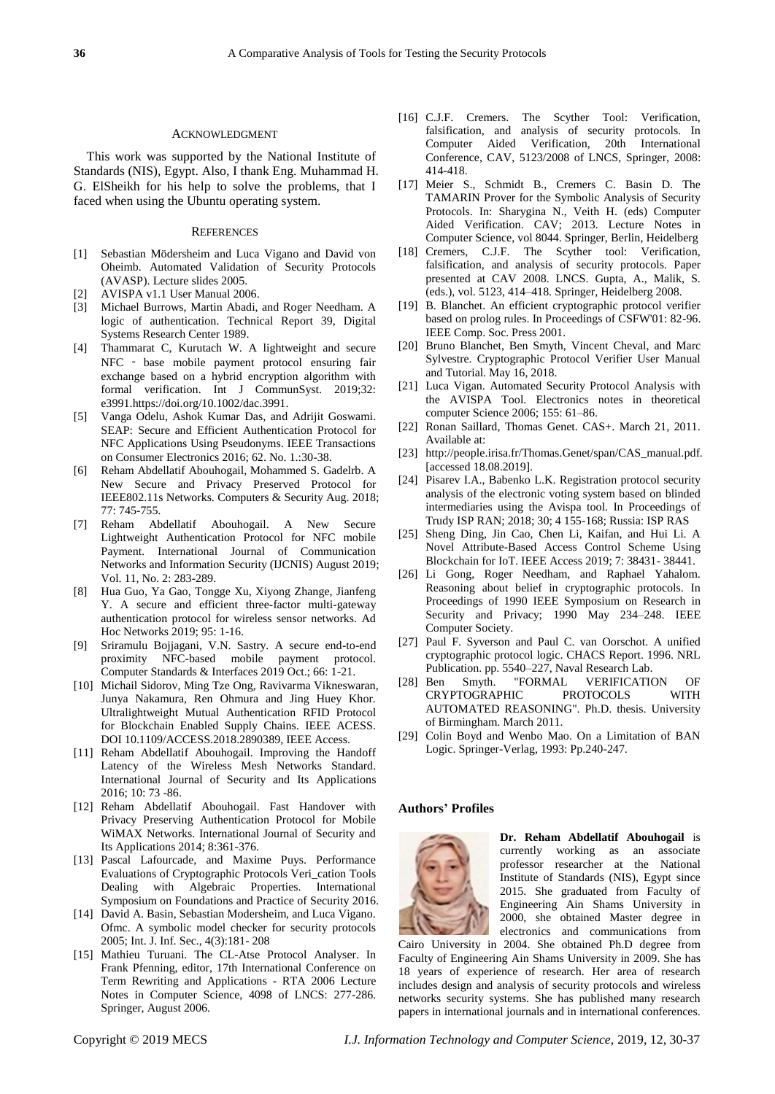#### ACKNOWLEDGMENT

This work was supported by the National Institute of Standards (NIS), Egypt. Also, I thank Eng. Muhammad H. G. ElSheikh for his help to solve the problems, that I faced when using the Ubuntu operating system.

#### **REFERENCES**

- [1] Sebastian Mödersheim and Luca Vigano and David von Oheimb. Automated Validation of Security Protocols (AVASP). Lecture slides 2005.
- [2] AVISPA v1.1 User Manual 2006.
- [3] Michael Burrows, Martin Abadi, and Roger Needham. A logic of authentication. Technical Report 39, Digital Systems Research Center 1989.
- [4] Thammarat C, Kurutach W. A lightweight and secure NFC - base mobile payment protocol ensuring fair exchange based on a hybrid encryption algorithm with formal verification. Int J CommunSyst. 2019;32: e3991.https://doi.org/10.1002/dac.3991.
- [5] Vanga Odelu, Ashok Kumar Das, and Adrijit Goswami. SEAP: Secure and Efficient Authentication Protocol for NFC Applications Using Pseudonyms. IEEE Transactions on Consumer Electronics 2016; 62. No. 1.:30-38.
- [6] Reham Abdellatif Abouhogail, Mohammed S. Gadelrb. A New Secure and Privacy Preserved Protocol for IEEE802.11s Networks. Computers & Security Aug. 2018; 77: 745-755.
- [7] Reham Abdellatif Abouhogail. A New Secure Lightweight Authentication Protocol for NFC mobile Payment. International Journal of Communication Networks and Information Security (IJCNIS) August 2019; Vol. 11, No. 2: 283-289.
- [8] Hua Guo, Ya Gao, Tongge Xu, Xiyong Zhange, Jianfeng Y. A secure and efficient three-factor multi-gateway authentication protocol for wireless sensor networks. Ad Hoc Networks 2019; 95: 1-16.
- [9] Sriramulu Bojjagani, V.N. Sastry. A secure end-to-end proximity NFC-based mobile payment protocol. Computer Standards & Interfaces 2019 Oct.; 66: 1-21.
- [10] Michail Sidorov, Ming Tze Ong, Ravivarma Vikneswaran, Junya Nakamura, Ren Ohmura and Jing Huey Khor. Ultralightweight Mutual Authentication RFID Protocol for Blockchain Enabled Supply Chains. IEEE ACESS. DOI 10.1109/ACCESS.2018.2890389, IEEE Access.
- [11] Reham Abdellatif Abouhogail. Improving the Handoff Latency of the Wireless Mesh Networks Standard. International Journal of Security and Its Applications 2016; 10: 73 -86.
- [12] Reham Abdellatif Abouhogail. Fast Handover with Privacy Preserving Authentication Protocol for Mobile WiMAX Networks. International Journal of Security and Its Applications 2014; 8:361-376.
- [13] Pascal Lafourcade, and Maxime Puys. Performance Evaluations of Cryptographic Protocols Veri\_cation Tools Dealing with Algebraic Properties. International Symposium on Foundations and Practice of Security 2016.
- [14] David A. Basin, Sebastian Modersheim, and Luca Vigano. Ofmc. A symbolic model checker for security protocols 2005; Int. J. Inf. Sec., 4(3):181- 208
- [15] Mathieu Turuani. The CL-Atse Protocol Analyser. In Frank Pfenning, editor, 17th International Conference on Term Rewriting and Applications - RTA 2006 Lecture Notes in Computer Science, 4098 of LNCS: 277-286. Springer, August 2006.
- [16] C.J.F. Cremers. The Scyther Tool: Verification, falsification, and analysis of security protocols. In Computer Aided Verification, 20th International Conference, CAV, 5123/2008 of LNCS, Springer, 2008: 414-418.
- [17] Meier S., Schmidt B., Cremers C. Basin D. The TAMARIN Prover for the Symbolic Analysis of Security Protocols. In: Sharygina N., Veith H. (eds) Computer Aided Verification. CAV; 2013. Lecture Notes in Computer Science, vol 8044. Springer, Berlin, Heidelberg
- [18] Cremers, C.J.F. The Scyther tool: Verification, falsification, and analysis of security protocols. Paper presented at CAV 2008. LNCS. Gupta, A., Malik, S. (eds.), vol. 5123, 414–418. Springer, Heidelberg 2008.
- [19] B. Blanchet. An efficient cryptographic protocol verifier based on prolog rules. In Proceedings of CSFW'01: 82-96. IEEE Comp. Soc. Press 2001.
- [20] Bruno Blanchet, Ben Smyth, Vincent Cheval, and Marc Sylvestre. Cryptographic Protocol Verifier User Manual and Tutorial. May 16, 2018.
- [21] Luca Vigan. Automated Security Protocol Analysis with the AVISPA Tool. Electronics notes in theoretical computer Science 2006; 155: 61–86.
- [22] Ronan Saillard, Thomas Genet. CAS+. March 21, 2011. Available at:
- [23] http://people.irisa.fr/Thomas.Genet/span/CAS\_manual.pdf. [accessed 18.08.2019].
- [24] Pisarev I.A., Babenko L.K. Registration protocol security analysis of the electronic voting system based on blinded intermediaries using the Avispa tool. In Proceedings of Trudy ISP RAN; 2018; 30; 4 155-168; Russia: ISP RAS
- [25] Sheng Ding, Jin Cao, Chen Li, Kaifan, and Hui Li. A Novel Attribute-Based Access Control Scheme Using Blockchain for IoT. IEEE Access 2019; 7: 38431- 38441.
- [26] Li Gong, Roger Needham, and Raphael Yahalom. Reasoning about belief in cryptographic protocols. In Proceedings of 1990 IEEE Symposium on Research in Security and Privacy; 1990 May 234–248. IEEE Computer Society.
- [27] Paul F. Syverson and Paul C. van Oorschot. A unified cryptographic protocol logic. CHACS Report. 1996. NRL Publication. pp. 5540–227, Naval Research Lab.
- [28] Ben Smyth. "FORMAL VERIFICATION OF CRYPTOGRAPHIC PROTOCOLS WITH AUTOMATED REASONING". Ph.D. thesis. University of Birmingham. March 2011.
- [29] Colin Boyd and Wenbo Mao. On a Limitation of BAN Logic. Springer-Verlag, 1993: Pp.240-247.

#### **Authors' Profiles**



**Dr. Reham Abdellatif Abouhogail** is currently working as an associate professor researcher at the National Institute of Standards (NIS), Egypt since 2015. She graduated from Faculty of Engineering Ain Shams University in 2000, she obtained Master degree in electronics and communications from

Cairo University in 2004. She obtained Ph.D degree from Faculty of Engineering Ain Shams University in 2009. She has 18 years of experience of research. Her area of research includes design and analysis of security protocols and wireless networks security systems. She has published many research papers in international journals and in international conferences.